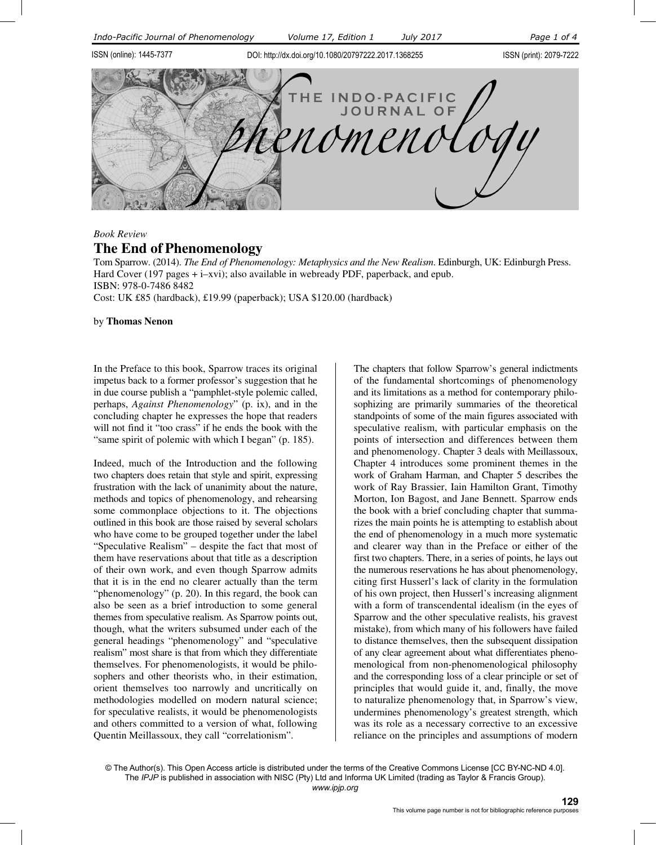

### *Book Review*

# **The End of Phenomenology**

Tom Sparrow. (2014). *The End of Phenomenology: Metaphysics and the New Realism*. Edinburgh, UK: Edinburgh Press. Hard Cover (197 pages + i–xvi); also available in webready PDF, paperback, and epub. ISBN: 978-0-7486 8482 Cost: UK £85 (hardback), £19.99 (paperback); USA \$120.00 (hardback)

by **Thomas Nenon**

In the Preface to this book, Sparrow traces its original impetus back to a former professor's suggestion that he in due course publish a "pamphlet-style polemic called, perhaps, *Against Phenomenology*" (p. ix), and in the concluding chapter he expresses the hope that readers will not find it "too crass" if he ends the book with the "same spirit of polemic with which I began" (p. 185).

Indeed, much of the Introduction and the following two chapters does retain that style and spirit, expressing frustration with the lack of unanimity about the nature, methods and topics of phenomenology, and rehearsing some commonplace objections to it. The objections outlined in this book are those raised by several scholars who have come to be grouped together under the label "Speculative Realism" – despite the fact that most of them have reservations about that title as a description of their own work, and even though Sparrow admits that it is in the end no clearer actually than the term "phenomenology" (p. 20). In this regard, the book can also be seen as a brief introduction to some general themes from speculative realism. As Sparrow points out, though, what the writers subsumed under each of the general headings "phenomenology" and "speculative realism" most share is that from which they differentiate themselves. For phenomenologists, it would be philosophers and other theorists who, in their estimation, orient themselves too narrowly and uncritically on methodologies modelled on modern natural science; for speculative realists, it would be phenomenologists and others committed to a version of what, following Quentin Meillassoux, they call "correlationism".

The chapters that follow Sparrow's general indictments of the fundamental shortcomings of phenomenology and its limitations as a method for contemporary philosophizing are primarily summaries of the theoretical standpoints of some of the main figures associated with speculative realism, with particular emphasis on the points of intersection and differences between them and phenomenology. Chapter 3 deals with Meillassoux, Chapter 4 introduces some prominent themes in the work of Graham Harman, and Chapter 5 describes the work of Ray Brassier, Iain Hamilton Grant, Timothy Morton, Ion Bagost, and Jane Bennett. Sparrow ends the book with a brief concluding chapter that summarizes the main points he is attempting to establish about the end of phenomenology in a much more systematic and clearer way than in the Preface or either of the first two chapters. There, in a series of points, he lays out the numerous reservations he has about phenomenology, citing first Husserl's lack of clarity in the formulation of his own project, then Husserl's increasing alignment with a form of transcendental idealism (in the eyes of Sparrow and the other speculative realists, his gravest mistake), from which many of his followers have failed to distance themselves, then the subsequent dissipation of any clear agreement about what differentiates phenomenological from non-phenomenological philosophy and the corresponding loss of a clear principle or set of principles that would guide it, and, finally, the move to naturalize phenomenology that, in Sparrow's view, undermines phenomenology's greatest strength, which was its role as a necessary corrective to an excessive reliance on the principles and assumptions of modern

 The *IPJP* is published in association with NISC (Pty) Ltd and Informa UK Limited (trading as Taylor & Francis Group). www.ipjp.org © The Author(s). This Open Access article is distributed under the terms of the Creative Commons License [CC BY-NC-ND 4.0]. *www.ipjp.org*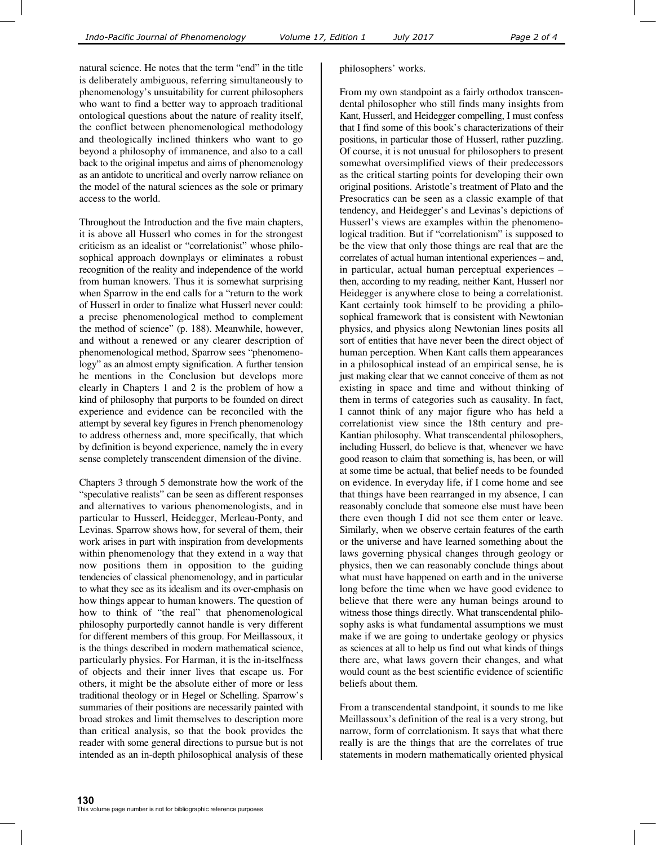natural science. He notes that the term "end" in the title is deliberately ambiguous, referring simultaneously to phenomenology's unsuitability for current philosophers who want to find a better way to approach traditional ontological questions about the nature of reality itself, the conflict between phenomenological methodology and theologically inclined thinkers who want to go beyond a philosophy of immanence, and also to a call back to the original impetus and aims of phenomenology as an antidote to uncritical and overly narrow reliance on the model of the natural sciences as the sole or primary access to the world.

Throughout the Introduction and the five main chapters, it is above all Husserl who comes in for the strongest criticism as an idealist or "correlationist" whose philosophical approach downplays or eliminates a robust recognition of the reality and independence of the world from human knowers. Thus it is somewhat surprising when Sparrow in the end calls for a "return to the work of Husserl in order to finalize what Husserl never could: a precise phenomenological method to complement the method of science" (p. 188). Meanwhile, however, and without a renewed or any clearer description of phenomenological method, Sparrow sees "phenomenology" as an almost empty signification. A further tension he mentions in the Conclusion but develops more clearly in Chapters 1 and 2 is the problem of how a kind of philosophy that purports to be founded on direct experience and evidence can be reconciled with the attempt by several key figures in French phenomenology to address otherness and, more specifically, that which by definition is beyond experience, namely the in every sense completely transcendent dimension of the divine.

Chapters 3 through 5 demonstrate how the work of the "speculative realists" can be seen as different responses and alternatives to various phenomenologists, and in particular to Husserl, Heidegger, Merleau-Ponty, and Levinas. Sparrow shows how, for several of them, their work arises in part with inspiration from developments within phenomenology that they extend in a way that now positions them in opposition to the guiding tendencies of classical phenomenology, and in particular to what they see as its idealism and its over-emphasis on how things appear to human knowers. The question of how to think of "the real" that phenomenological philosophy purportedly cannot handle is very different for different members of this group. For Meillassoux, it is the things described in modern mathematical science, particularly physics. For Harman, it is the in-itselfness of objects and their inner lives that escape us. For others, it might be the absolute either of more or less traditional theology or in Hegel or Schelling. Sparrow's summaries of their positions are necessarily painted with broad strokes and limit themselves to description more than critical analysis, so that the book provides the reader with some general directions to pursue but is not intended as an in-depth philosophical analysis of these

#### philosophers' works.

From my own standpoint as a fairly orthodox transcendental philosopher who still finds many insights from Kant, Husserl, and Heidegger compelling, I must confess that I find some of this book's characterizations of their positions, in particular those of Husserl, rather puzzling. Of course, it is not unusual for philosophers to present somewhat oversimplified views of their predecessors as the critical starting points for developing their own original positions. Aristotle's treatment of Plato and the Presocratics can be seen as a classic example of that tendency, and Heidegger's and Levinas's depictions of Husserl's views are examples within the phenomenological tradition. But if "correlationism" is supposed to be the view that only those things are real that are the correlates of actual human intentional experiences – and, in particular, actual human perceptual experiences – then, according to my reading, neither Kant, Husserl nor Heidegger is anywhere close to being a correlationist. Kant certainly took himself to be providing a philosophical framework that is consistent with Newtonian physics, and physics along Newtonian lines posits all sort of entities that have never been the direct object of human perception. When Kant calls them appearances in a philosophical instead of an empirical sense, he is just making clear that we cannot conceive of them as not existing in space and time and without thinking of them in terms of categories such as causality. In fact, I cannot think of any major figure who has held a correlationist view since the 18th century and pre-Kantian philosophy. What transcendental philosophers, including Husserl, do believe is that, whenever we have good reason to claim that something is, has been, or will at some time be actual, that belief needs to be founded on evidence. In everyday life, if I come home and see that things have been rearranged in my absence, I can reasonably conclude that someone else must have been there even though I did not see them enter or leave. Similarly, when we observe certain features of the earth or the universe and have learned something about the laws governing physical changes through geology or physics, then we can reasonably conclude things about what must have happened on earth and in the universe long before the time when we have good evidence to believe that there were any human beings around to witness those things directly. What transcendental philosophy asks is what fundamental assumptions we must make if we are going to undertake geology or physics as sciences at all to help us find out what kinds of things there are, what laws govern their changes, and what would count as the best scientific evidence of scientific beliefs about them.

From a transcendental standpoint, it sounds to me like Meillassoux's definition of the real is a very strong, but narrow, form of correlationism. It says that what there really is are the things that are the correlates of true statements in modern mathematically oriented physical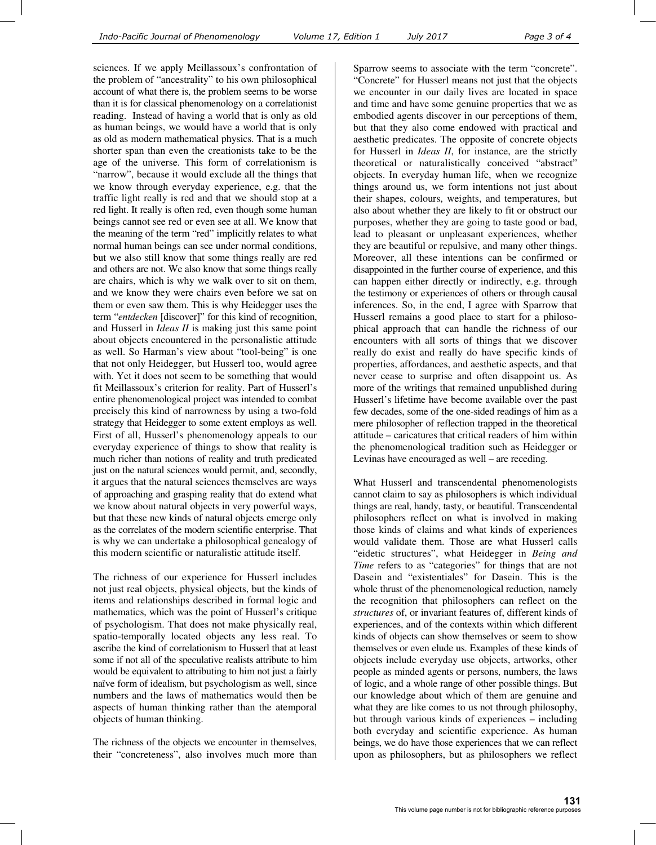sciences. If we apply Meillassoux's confrontation of the problem of "ancestrality" to his own philosophical account of what there is, the problem seems to be worse than it is for classical phenomenology on a correlationist reading. Instead of having a world that is only as old as human beings, we would have a world that is only as old as modern mathematical physics. That is a much shorter span than even the creationists take to be the age of the universe. This form of correlationism is "narrow", because it would exclude all the things that we know through everyday experience, e.g. that the traffic light really is red and that we should stop at a red light. It really is often red, even though some human beings cannot see red or even see at all. We know that the meaning of the term "red" implicitly relates to what normal human beings can see under normal conditions, but we also still know that some things really are red and others are not. We also know that some things really are chairs, which is why we walk over to sit on them, and we know they were chairs even before we sat on them or even saw them. This is why Heidegger uses the term "*entdecken* [discover]" for this kind of recognition, and Husserl in *Ideas II* is making just this same point about objects encountered in the personalistic attitude as well. So Harman's view about "tool-being" is one that not only Heidegger, but Husserl too, would agree with. Yet it does not seem to be something that would fit Meillassoux's criterion for reality. Part of Husserl's entire phenomenological project was intended to combat precisely this kind of narrowness by using a two-fold strategy that Heidegger to some extent employs as well. First of all, Husserl's phenomenology appeals to our everyday experience of things to show that reality is much richer than notions of reality and truth predicated just on the natural sciences would permit, and, secondly, it argues that the natural sciences themselves are ways of approaching and grasping reality that do extend what we know about natural objects in very powerful ways, but that these new kinds of natural objects emerge only as the correlates of the modern scientific enterprise. That is why we can undertake a philosophical genealogy of this modern scientific or naturalistic attitude itself.

The richness of our experience for Husserl includes not just real objects, physical objects, but the kinds of items and relationships described in formal logic and mathematics, which was the point of Husserl's critique of psychologism. That does not make physically real, spatio-temporally located objects any less real. To ascribe the kind of correlationism to Husserl that at least some if not all of the speculative realists attribute to him would be equivalent to attributing to him not just a fairly naïve form of idealism, but psychologism as well, since numbers and the laws of mathematics would then be aspects of human thinking rather than the atemporal objects of human thinking.

The richness of the objects we encounter in themselves, their "concreteness", also involves much more than Sparrow seems to associate with the term "concrete". "Concrete" for Husserl means not just that the objects we encounter in our daily lives are located in space and time and have some genuine properties that we as embodied agents discover in our perceptions of them, but that they also come endowed with practical and aesthetic predicates. The opposite of concrete objects for Husserl in *Ideas II*, for instance, are the strictly theoretical or naturalistically conceived "abstract" objects. In everyday human life, when we recognize things around us, we form intentions not just about their shapes, colours, weights, and temperatures, but also about whether they are likely to fit or obstruct our purposes, whether they are going to taste good or bad, lead to pleasant or unpleasant experiences, whether they are beautiful or repulsive, and many other things. Moreover, all these intentions can be confirmed or disappointed in the further course of experience, and this can happen either directly or indirectly, e.g. through the testimony or experiences of others or through causal inferences. So, in the end, I agree with Sparrow that Husserl remains a good place to start for a philosophical approach that can handle the richness of our encounters with all sorts of things that we discover really do exist and really do have specific kinds of properties, affordances, and aesthetic aspects, and that never cease to surprise and often disappoint us. As more of the writings that remained unpublished during Husserl's lifetime have become available over the past few decades, some of the one-sided readings of him as a mere philosopher of reflection trapped in the theoretical attitude – caricatures that critical readers of him within the phenomenological tradition such as Heidegger or Levinas have encouraged as well – are receding.

What Husserl and transcendental phenomenologists cannot claim to say as philosophers is which individual things are real, handy, tasty, or beautiful. Transcendental philosophers reflect on what is involved in making those kinds of claims and what kinds of experiences would validate them. Those are what Husserl calls "eidetic structures", what Heidegger in *Being and Time* refers to as "categories" for things that are not Dasein and "existentiales" for Dasein. This is the whole thrust of the phenomenological reduction, namely the recognition that philosophers can reflect on the *structures* of, or invariant features of, different kinds of experiences, and of the contexts within which different kinds of objects can show themselves or seem to show themselves or even elude us. Examples of these kinds of objects include everyday use objects, artworks, other people as minded agents or persons, numbers, the laws of logic, and a whole range of other possible things. But our knowledge about which of them are genuine and what they are like comes to us not through philosophy, but through various kinds of experiences – including both everyday and scientific experience. As human beings, we do have those experiences that we can reflect upon as philosophers, but as philosophers we reflect